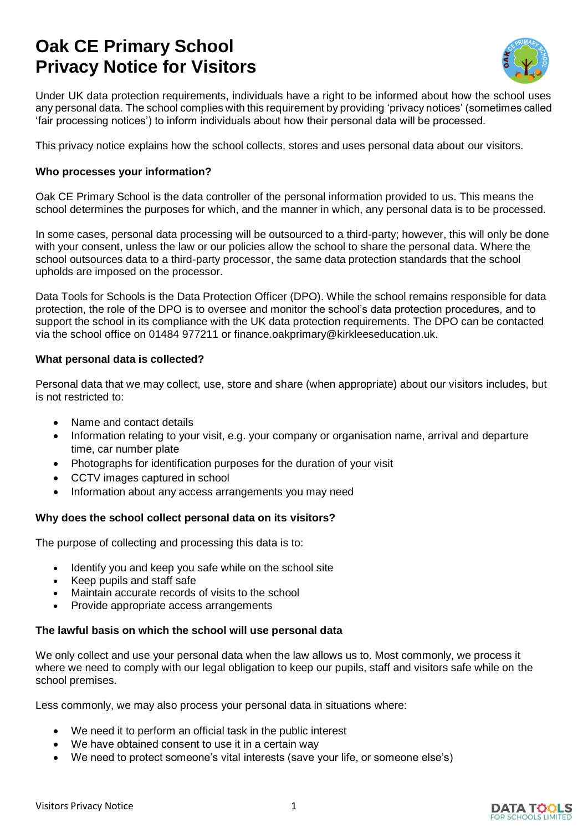# **Oak CE Primary School Privacy Notice for Visitors**



Under UK data protection requirements, individuals have a right to be informed about how the school uses any personal data. The school complies with this requirement by providing 'privacy notices' (sometimes called 'fair processing notices') to inform individuals about how their personal data will be processed.

This privacy notice explains how the school collects, stores and uses personal data about our visitors.

#### **Who processes your information?**

Oak CE Primary School is the data controller of the personal information provided to us. This means the school determines the purposes for which, and the manner in which, any personal data is to be processed.

In some cases, personal data processing will be outsourced to a third-party; however, this will only be done with your consent, unless the law or our policies allow the school to share the personal data. Where the school outsources data to a third-party processor, the same data protection standards that the school upholds are imposed on the processor.

Data Tools for Schools is the Data Protection Officer (DPO). While the school remains responsible for data protection, the role of the DPO is to oversee and monitor the school's data protection procedures, and to support the school in its compliance with the UK data protection requirements. The DPO can be contacted via the school office on 01484 977211 or finance.oakprimary@kirkleeseducation.uk.

#### **What personal data is collected?**

Personal data that we may collect, use, store and share (when appropriate) about our visitors includes, but is not restricted to:

- Name and contact details
- Information relating to your visit, e.g. your company or organisation name, arrival and departure time, car number plate
- Photographs for identification purposes for the duration of your visit
- CCTV images captured in school
- Information about any access arrangements you may need

# **Why does the school collect personal data on its visitors?**

The purpose of collecting and processing this data is to:

- Identify you and keep you safe while on the school site
- Keep pupils and staff safe
- Maintain accurate records of visits to the school
- Provide appropriate access arrangements

#### **The lawful basis on which the school will use personal data**

We only collect and use your personal data when the law allows us to. Most commonly, we process it where we need to comply with our legal obligation to keep our pupils, staff and visitors safe while on the school premises.

Less commonly, we may also process your personal data in situations where:

- We need it to perform an official task in the public interest
- We have obtained consent to use it in a certain way
- We need to protect someone's vital interests (save your life, or someone else's)

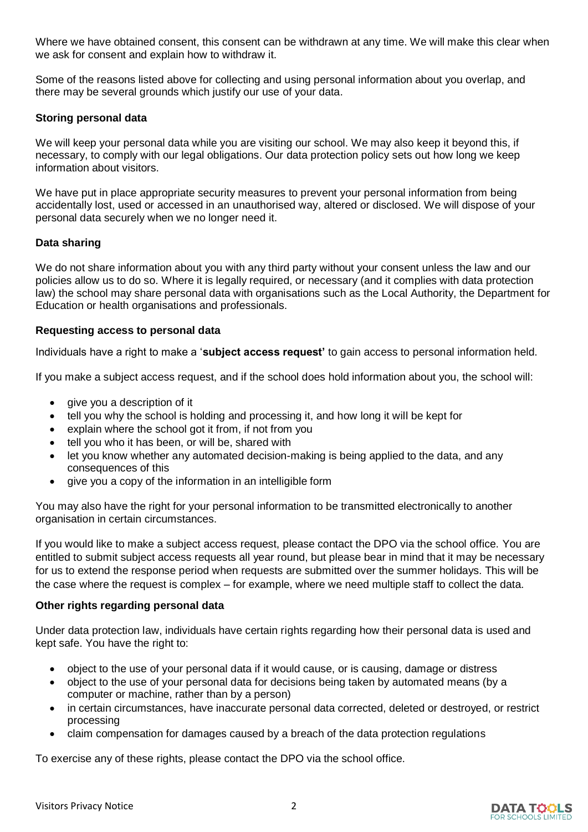Where we have obtained consent, this consent can be withdrawn at any time. We will make this clear when we ask for consent and explain how to withdraw it.

Some of the reasons listed above for collecting and using personal information about you overlap, and there may be several grounds which justify our use of your data.

#### **Storing personal data**

We will keep your personal data while you are visiting our school. We may also keep it beyond this, if necessary, to comply with our legal obligations. Our data protection policy sets out how long we keep information about visitors.

We have put in place appropriate security measures to prevent your personal information from being accidentally lost, used or accessed in an unauthorised way, altered or disclosed. We will dispose of your personal data securely when we no longer need it.

# **Data sharing**

We do not share information about you with any third party without your consent unless the law and our policies allow us to do so. Where it is legally required, or necessary (and it complies with data protection law) the school may share personal data with organisations such as the Local Authority, the Department for Education or health organisations and professionals.

#### **Requesting access to personal data**

Individuals have a right to make a '**subject access request'** to gain access to personal information held.

If you make a subject access request, and if the school does hold information about you, the school will:

- give you a description of it
- tell you why the school is holding and processing it, and how long it will be kept for
- explain where the school got it from, if not from you
- tell you who it has been, or will be, shared with
- let you know whether any automated decision-making is being applied to the data, and any consequences of this
- give you a copy of the information in an intelligible form

You may also have the right for your personal information to be transmitted electronically to another organisation in certain circumstances.

If you would like to make a subject access request, please contact the DPO via the school office. You are entitled to submit subject access requests all year round, but please bear in mind that it may be necessary for us to extend the response period when requests are submitted over the summer holidays. This will be the case where the request is complex – for example, where we need multiple staff to collect the data.

# **Other rights regarding personal data**

Under data protection law, individuals have certain rights regarding how their personal data is used and kept safe. You have the right to:

- object to the use of your personal data if it would cause, or is causing, damage or distress
- object to the use of your personal data for decisions being taken by automated means (by a computer or machine, rather than by a person)
- in certain circumstances, have inaccurate personal data corrected, deleted or destroyed, or restrict processing
- claim compensation for damages caused by a breach of the data protection regulations

To exercise any of these rights, please contact the DPO via the school office.